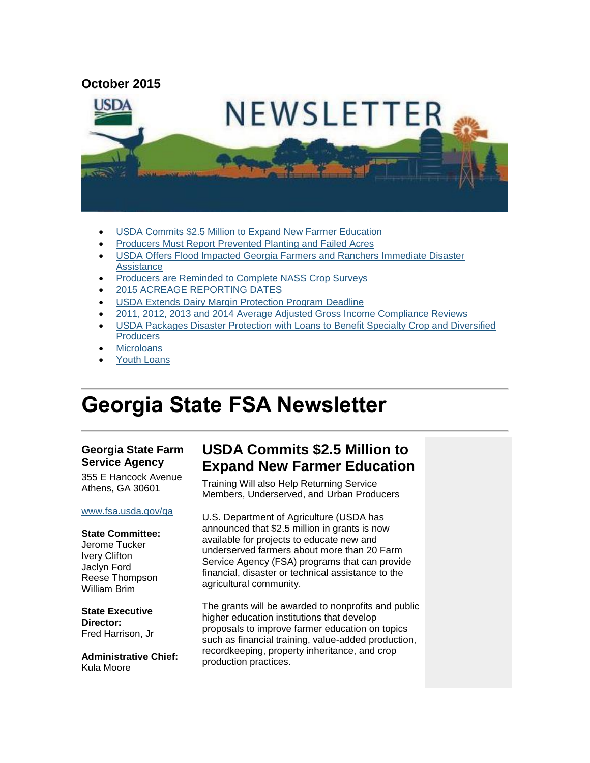

- [USDA Commits \\$2.5 Million to Expand New Farmer Education](#page-0-0)
- [Producers Must Report Prevented Planting and Failed Acres](#page-1-0)
- USDA Offers [Flood Impacted Georgia Farmers and Ranchers Immediate Disaster](#page-1-1)  **[Assistance](#page-1-1)**
- [Producers are Reminded to Complete NASS Crop Surveys](#page-3-0)
- [2015 ACREAGE REPORTING DATES](#page-3-1)
- [USDA Extends Dairy Margin Protection Program Deadline](#page-4-0)
- [2011, 2012, 2013 and 2014 Average Adjusted Gross Income Compliance Reviews](#page-4-1)
- [USDA Packages Disaster Protection with Loans to Benefit Specialty Crop and Diversified](#page-5-0)  **Producers**
- **[Microloans](#page-5-1)**
- [Youth Loans](#page-6-0)

# **Georgia State FSA Newsletter**

#### **Georgia State Farm Service Agency**

355 E Hancock Avenue Athens, GA 30601

#### [www.fsa.usda.gov/ga](http://www.fsa.usda.gov/ga)

#### **State Committee:**

Jerome Tucker Ivery Clifton Jaclyn Ford Reese Thompson William Brim

**State Executive Director:** Fred Harrison, Jr

**Administrative Chief:** Kula Moore

# <span id="page-0-0"></span>**USDA Commits \$2.5 Million to Expand New Farmer Education**

Training Will also Help Returning Service Members, Underserved, and Urban Producers

U.S. Department of Agriculture (USDA has announced that \$2.5 million in grants is now available for projects to educate new and underserved farmers about more than 20 Farm Service Agency (FSA) programs that can provide financial, disaster or technical assistance to the agricultural community.

The grants will be awarded to nonprofits and public higher education institutions that develop proposals to improve farmer education on topics such as financial training, value-added production, recordkeeping, property inheritance, and crop production practices.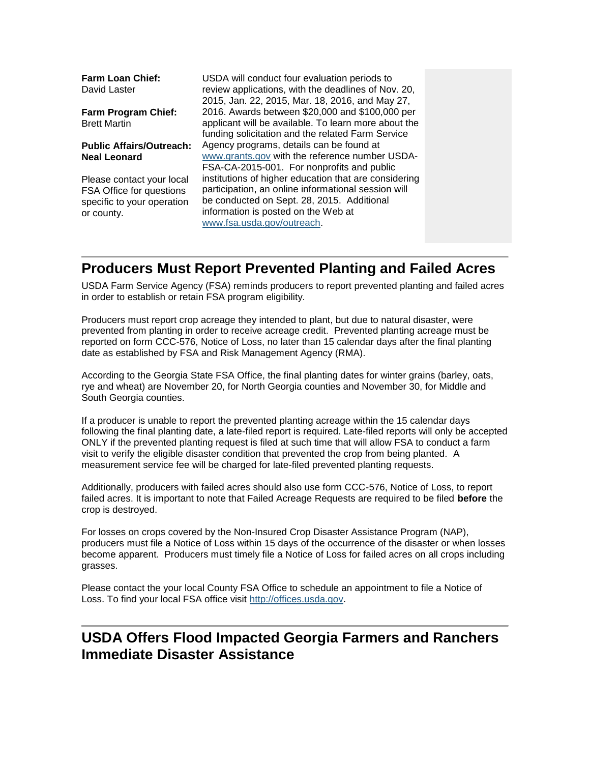| <b>Farm Loan Chief:</b><br>David Laster                                                           | USDA will conduct four evaluation periods to<br>review applications, with the deadlines of Nov. 20,<br>2015, Jan. 22, 2015, Mar. 18, 2016, and May 27,                                                                          |  |
|---------------------------------------------------------------------------------------------------|---------------------------------------------------------------------------------------------------------------------------------------------------------------------------------------------------------------------------------|--|
| <b>Farm Program Chief:</b><br><b>Brett Martin</b>                                                 | 2016. Awards between \$20,000 and \$100,000 per<br>applicant will be available. To learn more about the<br>funding solicitation and the related Farm Service                                                                    |  |
| <b>Public Affairs/Outreach:</b><br><b>Neal Leonard</b>                                            | Agency programs, details can be found at<br>www.grants.gov with the reference number USDA-<br>FSA-CA-2015-001. For nonprofits and public                                                                                        |  |
| Please contact your local<br>FSA Office for questions<br>specific to your operation<br>or county. | institutions of higher education that are considering<br>participation, an online informational session will<br>be conducted on Sept. 28, 2015. Additional<br>information is posted on the Web at<br>www.fsa.usda.gov/outreach. |  |

### <span id="page-1-0"></span>**Producers Must Report Prevented Planting and Failed Acres**

USDA Farm Service Agency (FSA) reminds producers to report prevented planting and failed acres in order to establish or retain FSA program eligibility.

Producers must report crop acreage they intended to plant, but due to natural disaster, were prevented from planting in order to receive acreage credit. Prevented planting acreage must be reported on form CCC-576, Notice of Loss, no later than 15 calendar days after the final planting date as established by FSA and Risk Management Agency (RMA).

According to the Georgia State FSA Office, the final planting dates for winter grains (barley, oats, rye and wheat) are November 20, for North Georgia counties and November 30, for Middle and South Georgia counties.

If a producer is unable to report the prevented planting acreage within the 15 calendar days following the final planting date, a late-filed report is required. Late-filed reports will only be accepted ONLY if the prevented planting request is filed at such time that will allow FSA to conduct a farm visit to verify the eligible disaster condition that prevented the crop from being planted. A measurement service fee will be charged for late-filed prevented planting requests.

Additionally, producers with failed acres should also use form CCC-576, Notice of Loss, to report failed acres. It is important to note that Failed Acreage Requests are required to be filed **before** the crop is destroyed.

For losses on crops covered by the Non-Insured Crop Disaster Assistance Program (NAP), producers must file a Notice of Loss within 15 days of the occurrence of the disaster or when losses become apparent. Producers must timely file a Notice of Loss for failed acres on all crops including grasses.

Please contact the your local County FSA Office to schedule an appointment to file a Notice of Loss. To find your local FSA office visit [http://offices.usda.gov.](http://offices.usda.gov/)

# <span id="page-1-1"></span>**USDA Offers Flood Impacted Georgia Farmers and Ranchers Immediate Disaster Assistance**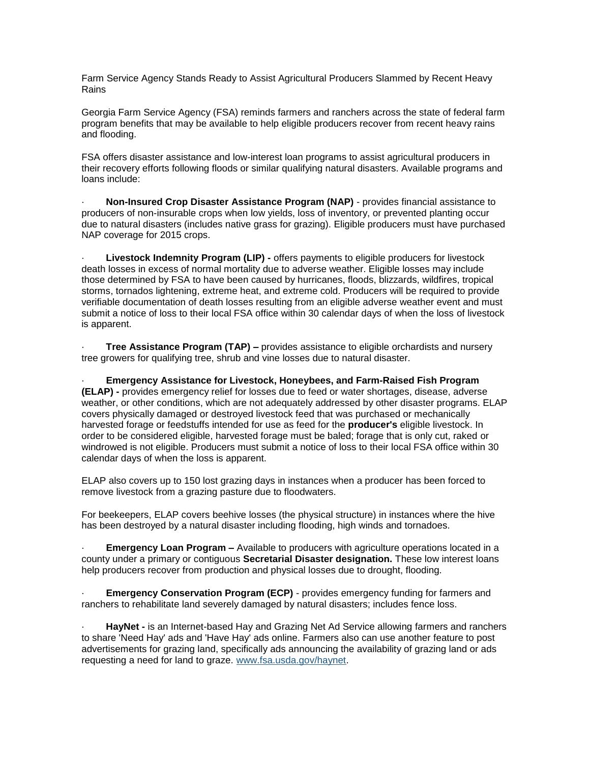Farm Service Agency Stands Ready to Assist Agricultural Producers Slammed by Recent Heavy Rains

Georgia Farm Service Agency (FSA) reminds farmers and ranchers across the state of federal farm program benefits that may be available to help eligible producers recover from recent heavy rains and flooding.

FSA offers disaster assistance and low-interest loan programs to assist agricultural producers in their recovery efforts following floods or similar qualifying natural disasters. Available programs and loans include:

· **Non-Insured Crop Disaster Assistance Program (NAP)** - provides financial assistance to producers of non-insurable crops when low yields, loss of inventory, or prevented planting occur due to natural disasters (includes native grass for grazing). Eligible producers must have purchased NAP coverage for 2015 crops.

· **Livestock Indemnity Program (LIP) -** offers payments to eligible producers for livestock death losses in excess of normal mortality due to adverse weather. Eligible losses may include those determined by FSA to have been caused by hurricanes, floods, blizzards, wildfires, tropical storms, tornados lightening, extreme heat, and extreme cold. Producers will be required to provide verifiable documentation of death losses resulting from an eligible adverse weather event and must submit a notice of loss to their local FSA office within 30 calendar days of when the loss of livestock is apparent.

· **Tree Assistance Program (TAP) –** provides assistance to eligible orchardists and nursery tree growers for qualifying tree, shrub and vine losses due to natural disaster.

· **Emergency Assistance for Livestock, Honeybees, and Farm-Raised Fish Program (ELAP) -** provides emergency relief for losses due to feed or water shortages, disease, adverse weather, or other conditions, which are not adequately addressed by other disaster programs. ELAP covers physically damaged or destroyed livestock feed that was purchased or mechanically harvested forage or feedstuffs intended for use as feed for the **producer's** eligible livestock. In order to be considered eligible, harvested forage must be baled; forage that is only cut, raked or windrowed is not eligible. Producers must submit a notice of loss to their local FSA office within 30 calendar days of when the loss is apparent.

ELAP also covers up to 150 lost grazing days in instances when a producer has been forced to remove livestock from a grazing pasture due to floodwaters.

For beekeepers, ELAP covers beehive losses (the physical structure) in instances where the hive has been destroyed by a natural disaster including flooding, high winds and tornadoes.

**Emergency Loan Program –** Available to producers with agriculture operations located in a county under a primary or contiguous **Secretarial Disaster designation.** These low interest loans help producers recover from production and physical losses due to drought, flooding.

**Emergency Conservation Program (ECP)** - provides emergency funding for farmers and ranchers to rehabilitate land severely damaged by natural disasters; includes fence loss.

HayNet - is an Internet-based Hay and Grazing Net Ad Service allowing farmers and ranchers to share 'Need Hay' ads and 'Have Hay' ads online. Farmers also can use another feature to post advertisements for grazing land, specifically ads announcing the availability of grazing land or ads requesting a need for land to graze. [www.fsa.usda.gov/haynet.](http://www.fsa.usda.gov/haynet)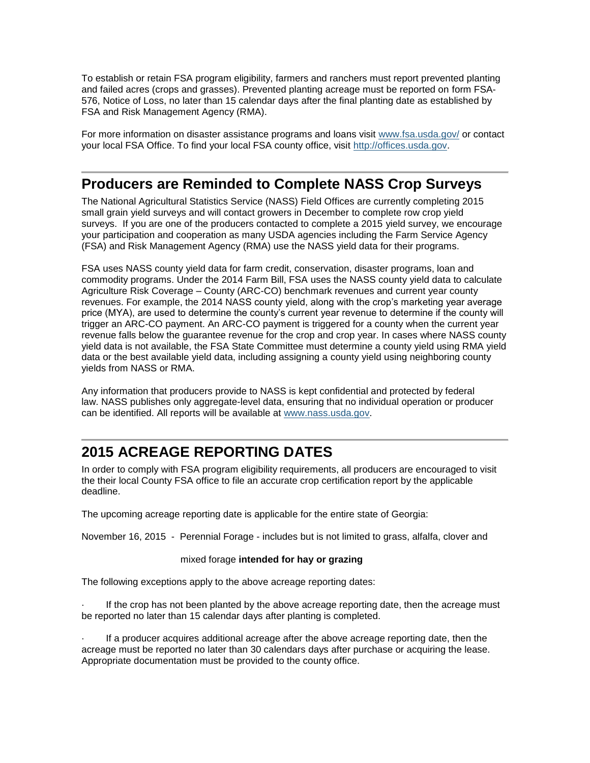To establish or retain FSA program eligibility, farmers and ranchers must report prevented planting and failed acres (crops and grasses). Prevented planting acreage must be reported on form FSA-576, Notice of Loss, no later than 15 calendar days after the final planting date as established by FSA and Risk Management Agency (RMA).

For more information on disaster assistance programs and loans visit [www.fsa.usda.gov/](file:///C:/Users/Brenda.Carlson/AppData/Local/Microsoft/Windows/Temporary%20Internet%20Files/Content.Outlook/DLAI7CRA/www.fsa.usda.gov/) or contact your local FSA Office. To find your local FSA county office, visit [http://offices.usda.gov.](http://offices.usda.gov/)

#### <span id="page-3-0"></span>**Producers are Reminded to Complete NASS Crop Surveys**

The National Agricultural Statistics Service (NASS) Field Offices are currently completing 2015 small grain yield surveys and will contact growers in December to complete row crop yield surveys. If you are one of the producers contacted to complete a 2015 yield survey, we encourage your participation and cooperation as many USDA agencies including the Farm Service Agency (FSA) and Risk Management Agency (RMA) use the NASS yield data for their programs.

FSA uses NASS county yield data for farm credit, conservation, disaster programs, loan and commodity programs. Under the 2014 Farm Bill, FSA uses the NASS county yield data to calculate Agriculture Risk Coverage – County (ARC-CO) benchmark revenues and current year county revenues. For example, the 2014 NASS county yield, along with the crop's marketing year average price (MYA), are used to determine the county's current year revenue to determine if the county will trigger an ARC-CO payment. An ARC-CO payment is triggered for a county when the current year revenue falls below the guarantee revenue for the crop and crop year. In cases where NASS county yield data is not available, the FSA State Committee must determine a county yield using RMA yield data or the best available yield data, including assigning a county yield using neighboring county yields from NASS or RMA.

Any information that producers provide to NASS is kept confidential and protected by federal law. NASS publishes only aggregate-level data, ensuring that no individual operation or producer can be identified. All reports will be available at [www.nass.usda.gov.](http://links.govdelivery.com/track?type=click&enid=ZWFzPTEmbWFpbGluZ2lkPTIwMTUxMDA1LjQ5ODc3NTQxJm1lc3NhZ2VpZD1NREItUFJELUJVTC0yMDE1MTAwNS40OTg3NzU0MSZkYXRhYmFzZWlkPTEwMDEmc2VyaWFsPTE3MTk5ODE1JmVtYWlsaWQ9YWFyb24ua3JhdXRlckBuZC51c2RhLmdvdiZ1c2VyaWQ9YWFyb24ua3JhdXRlckBuZC51c2RhLmdvdiZmbD0mZXh0cmE9TXVsdGl2YXJpYXRlSWQ9JiYm&&&109&&&http://www.nass.usda.gov/)

# <span id="page-3-1"></span>**2015 ACREAGE REPORTING DATES**

In order to comply with FSA program eligibility requirements, all producers are encouraged to visit the their local County FSA office to file an accurate crop certification report by the applicable deadline.

The upcoming acreage reporting date is applicable for the entire state of Georgia:

November 16, 2015 - Perennial Forage - includes but is not limited to grass, alfalfa, clover and

#### mixed forage **intended for hay or grazing**

The following exceptions apply to the above acreage reporting dates:

If the crop has not been planted by the above acreage reporting date, then the acreage must be reported no later than 15 calendar days after planting is completed.

· If a producer acquires additional acreage after the above acreage reporting date, then the acreage must be reported no later than 30 calendars days after purchase or acquiring the lease. Appropriate documentation must be provided to the county office.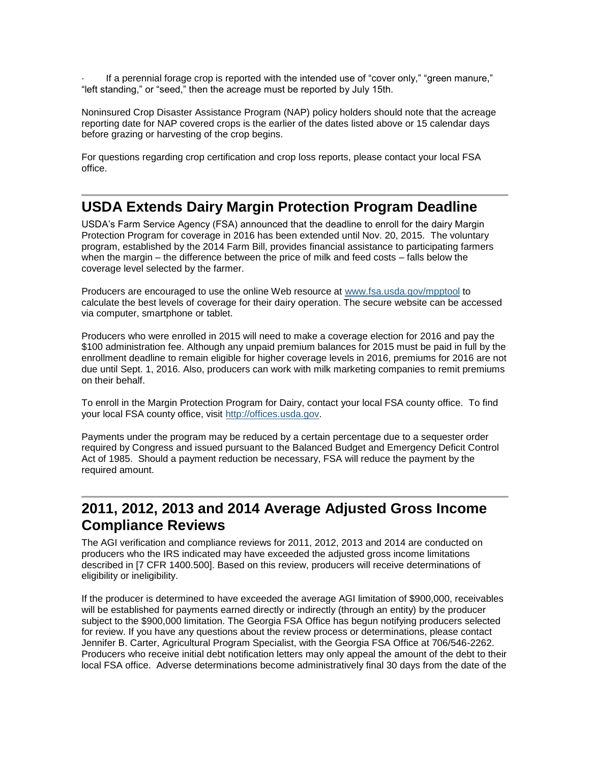· If a perennial forage crop is reported with the intended use of "cover only," "green manure," "left standing," or "seed," then the acreage must be reported by July 15th.

Noninsured Crop Disaster Assistance Program (NAP) policy holders should note that the acreage reporting date for NAP covered crops is the earlier of the dates listed above or 15 calendar days before grazing or harvesting of the crop begins.

For questions regarding crop certification and crop loss reports, please contact your local FSA office.

#### <span id="page-4-0"></span>**USDA Extends Dairy Margin Protection Program Deadline**

USDA's Farm Service Agency (FSA) announced that the deadline to enroll for the dairy Margin Protection Program for coverage in 2016 has been extended until Nov. 20, 2015. The voluntary program, established by the 2014 Farm Bill, provides financial assistance to participating farmers when the margin – the difference between the price of milk and feed costs – falls below the coverage level selected by the farmer.

Producers are encouraged to use the online Web resource at [www.fsa.usda.gov/mpptool](http://links.govdelivery.com/track?type=click&enid=ZWFzPTEmbWFpbGluZ2lkPTIwMTQxMDI5LjM3NTc0NDkxJm1lc3NhZ2VpZD1NREItUFJELUJVTC0yMDE0MTAyOS4zNzU3NDQ5MSZkYXRhYmFzZWlkPTEwMDEmc2VyaWFsPTE3MTExNTIxJmVtYWlsaWQ9aXNhYmVsLmJlbmVtZWxpc0B3ZGMudXNkYS5nb3YmdXNlcmlkPWlzYWJlbC5iZW5lbWVsaXNAd2RjLnVzZGEuZ292JmZsPSZleHRyYT1NdWx0aXZhcmlhdGVJZD0mJiY=&&&101&&&http://www.fsa.usda.gov/mpptool) to calculate the best levels of coverage for their dairy operation. The secure website can be accessed via computer, smartphone or tablet.

Producers who were enrolled in 2015 will need to make a coverage election for 2016 and pay the \$100 administration fee. Although any unpaid premium balances for 2015 must be paid in full by the enrollment deadline to remain eligible for higher coverage levels in 2016, premiums for 2016 are not due until Sept. 1, 2016. Also, producers can work with milk marketing companies to remit premiums on their behalf.

To enroll in the Margin Protection Program for Dairy, contact your local FSA county office. To find your local FSA county office, visit [http://offices.usda.gov.](http://offices.usda.gov/)

Payments under the program may be reduced by a certain percentage due to a sequester order required by Congress and issued pursuant to the Balanced Budget and Emergency Deficit Control Act of 1985. Should a payment reduction be necessary, FSA will reduce the payment by the required amount.

### <span id="page-4-1"></span>**2011, 2012, 2013 and 2014 Average Adjusted Gross Income Compliance Reviews**

The AGI verification and compliance reviews for 2011, 2012, 2013 and 2014 are conducted on producers who the IRS indicated may have exceeded the adjusted gross income limitations described in [7 CFR 1400.500]. Based on this review, producers will receive determinations of eligibility or ineligibility.

If the producer is determined to have exceeded the average AGI limitation of \$900,000, receivables will be established for payments earned directly or indirectly (through an entity) by the producer subject to the \$900,000 limitation. The Georgia FSA Office has begun notifying producers selected for review. If you have any questions about the review process or determinations, please contact Jennifer B. Carter, Agricultural Program Specialist, with the Georgia FSA Office at 706/546-2262. Producers who receive initial debt notification letters may only appeal the amount of the debt to their local FSA office. Adverse determinations become administratively final 30 days from the date of the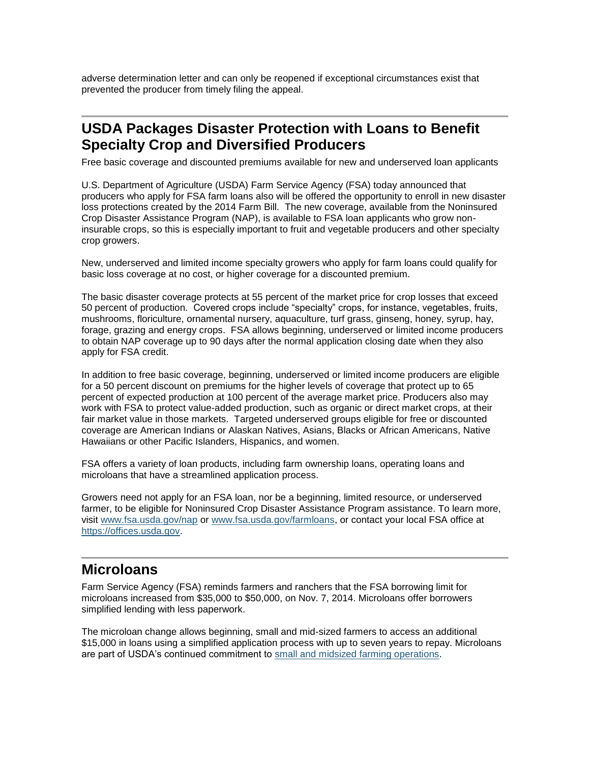adverse determination letter and can only be reopened if exceptional circumstances exist that prevented the producer from timely filing the appeal.

### <span id="page-5-0"></span>**USDA Packages Disaster Protection with Loans to Benefit Specialty Crop and Diversified Producers**

Free basic coverage and discounted premiums available for new and underserved loan applicants

U.S. Department of Agriculture (USDA) Farm Service Agency (FSA) today announced that producers who apply for FSA farm loans also will be offered the opportunity to enroll in new disaster loss protections created by the 2014 Farm Bill. The new coverage, available from the Noninsured Crop Disaster Assistance Program (NAP), is available to FSA loan applicants who grow noninsurable crops, so this is especially important to fruit and vegetable producers and other specialty crop growers.

New, underserved and limited income specialty growers who apply for farm loans could qualify for basic loss coverage at no cost, or higher coverage for a discounted premium.

The basic disaster coverage protects at 55 percent of the market price for crop losses that exceed 50 percent of production. Covered crops include "specialty" crops, for instance, vegetables, fruits, mushrooms, floriculture, ornamental nursery, aquaculture, turf grass, ginseng, honey, syrup, hay, forage, grazing and energy crops. FSA allows beginning, underserved or limited income producers to obtain NAP coverage up to 90 days after the normal application closing date when they also apply for FSA credit.

In addition to free basic coverage, beginning, underserved or limited income producers are eligible for a 50 percent discount on premiums for the higher levels of coverage that protect up to 65 percent of expected production at 100 percent of the average market price. Producers also may work with FSA to protect value-added production, such as organic or direct market crops, at their fair market value in those markets. Targeted underserved groups eligible for free or discounted coverage are American Indians or Alaskan Natives, Asians, Blacks or African Americans, Native Hawaiians or other Pacific Islanders, Hispanics, and women.

FSA offers a variety of loan products, including farm ownership loans, operating loans and microloans that have a streamlined application process.

Growers need not apply for an FSA loan, nor be a beginning, limited resource, or underserved farmer, to be eligible for Noninsured Crop Disaster Assistance Program assistance. To learn more, visit [www.fsa.usda.gov/nap](http://www.fsa.usda.gov/nap) or [www.fsa.usda.gov/farmloans,](http://www.fsa.usda.gov/programs-and-services/farm-loan-programs/index) or contact your local FSA office at [https://offices.usda.gov.](http://links.govdelivery.com/track?type=click&enid=ZWFzPTEmbWFpbGluZ2lkPTIwMTUwNTEzLjQ0OTUwNTUxJm1lc3NhZ2VpZD1NREItUFJELUJVTC0yMDE1MDUxMy40NDk1MDU1MSZkYXRhYmFzZWlkPTEwMDEmc2VyaWFsPTE3MTI2NTkzJmVtYWlsaWQ9aXNhYmVsLmJlbmVtZWxpc0B3ZGMudXNkYS5nb3YmdXNlcmlkPWlzYWJlbC5iZW5lbWVsaXNAd2RjLnVzZGEuZ292JmZsPSZleHRyYT1NdWx0aXZhcmlhdGVJZD0mJiY=&&&101&&&http://offices.usda.gov)

#### <span id="page-5-1"></span>**Microloans**

Farm Service Agency (FSA) reminds farmers and ranchers that the FSA borrowing limit for microloans increased from \$35,000 to \$50,000, on Nov. 7, 2014. Microloans offer borrowers simplified lending with less paperwork.

The microloan change allows beginning, small and mid-sized farmers to access an additional \$15,000 in loans using a simplified application process with up to seven years to repay. Microloans are part of USDA's continued commitment to [small and midsized farming operations.](http://www.usda.gov/wps/portal/usda/usdahome?contentidonly=true&contentid=small-midsized-farmer-resources.xml)